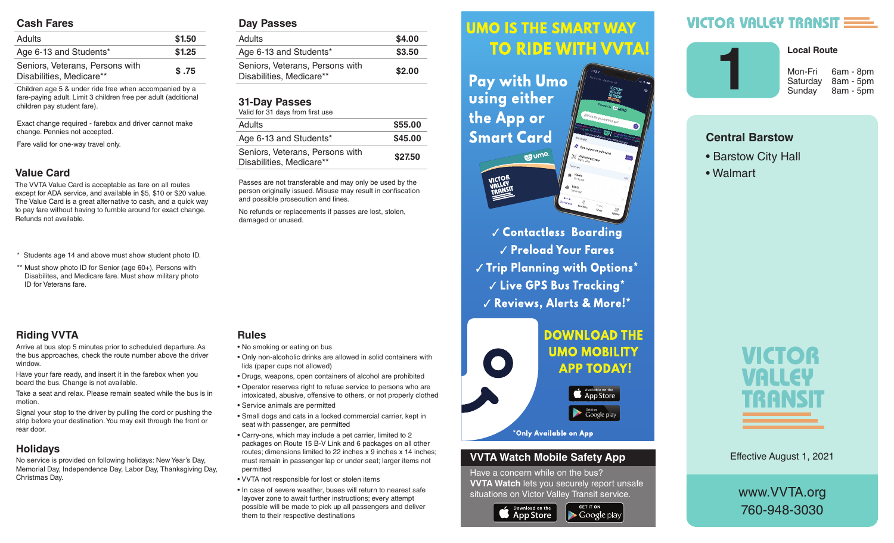## **Cash Fares**

| <b>Adults</b>                                               | \$1.50 |
|-------------------------------------------------------------|--------|
| Age 6-13 and Students*                                      | \$1.25 |
| Seniors, Veterans, Persons with<br>Disabilities, Medicare** | \$.75  |

Children age 5 & under ride free when accompanied by a fare-paying adult. Limit 3 children free per adult (additional children pay student fare).

Exact change required - farebox and driver cannot make change. Pennies not accepted.

Fare valid for one-way travel only.

# **Value Card**

The VVTA Value Card is acceptable as fare on all routes except for ADA service, and available in \$5, \$10 or \$20 value. The Value Card is a great alternative to cash, and a quick way to pay fare without having to fumble around for exact change. Refunds not available.

- \* Students age 14 and above must show student photo ID.
- \*\* Must show photo ID for Senior (age 60+), Persons with Disabilites, and Medicare fare. Must show military photo ID for Veterans fare.

# **Riding VVTA**

Arrive at bus stop 5 minutes prior to scheduled departure. As the bus approaches, check the route number above the driver window.

Have your fare ready, and insert it in the farebox when you board the bus. Change is not available.

Take a seat and relax. Please remain seated while the bus is in motion.

Signal your stop to the driver by pulling the cord or pushing the strip before your destination. You may exit through the front or rear door.

# **Holidays**

No service is provided on following holidays: New Year's Day, Memorial Day, Independence Day, Labor Day, Thanksgiving Day, Christmas Day.

### **Day Passes**

| Adults                                                      | \$4.00 |
|-------------------------------------------------------------|--------|
| Age 6-13 and Students*                                      | \$3.50 |
| Seniors, Veterans, Persons with<br>Disabilities, Medicare** | \$2.00 |
|                                                             |        |

# **31-Day Passes**

| Valid for 31 days from first use                            |         |
|-------------------------------------------------------------|---------|
| Adults                                                      | \$55.00 |
| Age 6-13 and Students*                                      | \$45.00 |
| Seniors, Veterans, Persons with<br>Disabilities, Medicare** | \$27.50 |

Passes are not transferable and may only be used by the person originally issued. Misuse may result in confiscation and possible prosecution and fines.

No refunds or replacements if passes are lost, stolen, damaged or unused.

• No smoking or eating on bus

**Rules**

- Only non-alcoholic drinks are allowed in solid containers with lids (paper cups not allowed)
- Drugs, weapons, open containers of alcohol are prohibited
- Operator reserves right to refuse service to persons who are intoxicated, abusive, offensive to others, or not properly clothed
- Service animals are permitted
- Small dogs and cats in a locked commercial carrier, kept in seat with passenger, are permitted
- Carry-ons, which may include a pet carrier, limited to 2 packages on Route 15 B-V Link and 6 packages on all other routes; dimensions limited to 22 inches x 9 inches x 14 inches; must remain in passenger lap or under seat; larger items not permitted
- VVTA not responsible for lost or stolen items
- In case of severe weather, buses will return to nearest safe layover zone to await further instructions; every attempt possible will be made to pick up all passengers and deliver them to their respective destinations

### *<u>UMO IS THE SMART WAY</u>* Arrive at bus stop 5 minutes prior to scheduled departure. As the bus approximation of the bus approximation of the bus approximation of the bus approximation route number above the driver window.

 $\mathbf{h}$  , and it is instructed in the farebox insert in the farebox  $\mathbf{h}$ **Fay with UMO AND SOLUTE:** Using either the bus is in motion.  $\mathbf{S}$  since the driver by pulling the driver by pulling the cord or  $\mathbf{S}$ pushing the strip of strip before your design of the strip of the strip of the strip of the strip of the strip of the strip of the strip of the strip of the strip of the strip of the strip of the strip of the strip of the exit through the front or real documents of the front or real documents of the front or real documents of the front or real documents of the front or real documents of the front or real documents of the front or real docum



**Contactless Boarding**  $\sqrt{\frac{P_{\text{rel}}}{P_{\text{rad}}}}$  Preload Your Fares  $\parallel$   $\parallel$   $\parallel$  rip rignning with Uptions  $\parallel$  $\sim$   $\sim$   $\sim$   $\sim$  CPS Rus Tracking  $^{\star}$ are intoxicated, abusive, offensive to others, or not properly V Reviews, Alerts & More!\*



## **VVTA Watch Mobile Safety App**

Have a concern while on the bus? **VVTA Watch** lets you securely report unsafe situations on Victor Valley Transit service.

**GET IT ON** 

 $\blacktriangleright$  Google play



# **VICTOR VALLEY TRANSIT E**



Saturday 8am - 5pm

**Local Route** 

Sunday 8am - 5pm

# **Central Barstow**

- Barstow City Hall
- Walmart



Effective August 1, 2021

www.VVTA.org 760-948-3030